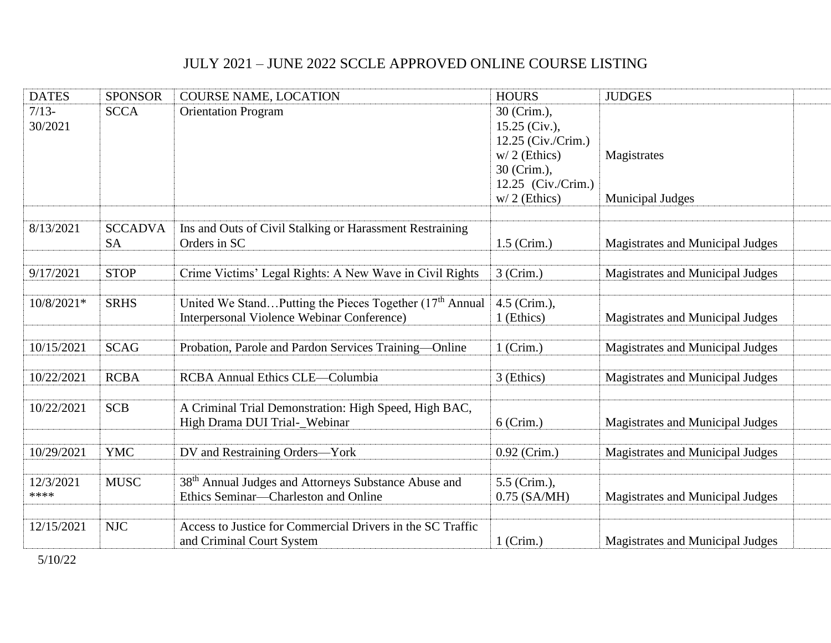## JULY 2021 – JUNE 2022 SCCLE APPROVED ONLINE COURSE LISTING

| <b>DATES</b>       | <b>SPONSOR</b>              | <b>COURSE NAME, LOCATION</b>                                                                                   | <b>HOURS</b>                                                          | <b>JUDGES</b>                          |
|--------------------|-----------------------------|----------------------------------------------------------------------------------------------------------------|-----------------------------------------------------------------------|----------------------------------------|
| $7/13-$<br>30/2021 | <b>SCCA</b>                 | <b>Orientation Program</b>                                                                                     | 30 (Crim.),<br>$15.25$ (Civ.),<br>12.25 (Civ./Crim.)                  |                                        |
|                    |                             |                                                                                                                | $w/2$ (Ethics)<br>30 (Crim.),<br>12.25 (Civ./Crim.)<br>$w/2$ (Ethics) | Magistrates<br><b>Municipal Judges</b> |
|                    |                             |                                                                                                                |                                                                       |                                        |
| 8/13/2021          | <b>SCCADVA</b><br><b>SA</b> | Ins and Outs of Civil Stalking or Harassment Restraining<br>Orders in SC                                       | $1.5$ (Crim.)                                                         | Magistrates and Municipal Judges       |
| 9/17/2021          | <b>STOP</b>                 | Crime Victims' Legal Rights: A New Wave in Civil Rights                                                        | $3$ (Crim.)                                                           | Magistrates and Municipal Judges       |
| 10/8/2021*         | <b>SRHS</b>                 | United We StandPutting the Pieces Together $(17th$ Annual<br><b>Interpersonal Violence Webinar Conference)</b> | 4.5 (Crim.),<br>1 (Ethics)                                            | Magistrates and Municipal Judges       |
| 10/15/2021         | <b>SCAG</b>                 | Probation, Parole and Pardon Services Training-Online                                                          | $1$ (Crim.)                                                           | Magistrates and Municipal Judges       |
| 10/22/2021         | <b>RCBA</b>                 | <b>RCBA Annual Ethics CLE-Columbia</b>                                                                         | 3 (Ethics)                                                            | Magistrates and Municipal Judges       |
| 10/22/2021         | <b>SCB</b>                  | A Criminal Trial Demonstration: High Speed, High BAC,<br>High Drama DUI Trial-_Webinar                         | $6$ (Crim.)                                                           | Magistrates and Municipal Judges       |
| 10/29/2021         | <b>YMC</b>                  | DV and Restraining Orders-York                                                                                 | 0.92 (Crim.)                                                          | Magistrates and Municipal Judges       |
| 12/3/2021<br>****  | <b>MUSC</b>                 | 38 <sup>th</sup> Annual Judges and Attorneys Substance Abuse and<br>Ethics Seminar-Charleston and Online       | 5.5 (Crim.),<br>$0.75$ (SA/MH)                                        | Magistrates and Municipal Judges       |
| 12/15/2021         | <b>NJC</b>                  | Access to Justice for Commercial Drivers in the SC Traffic<br>and Criminal Court System                        | $1$ (Crim.)                                                           | Magistrates and Municipal Judges       |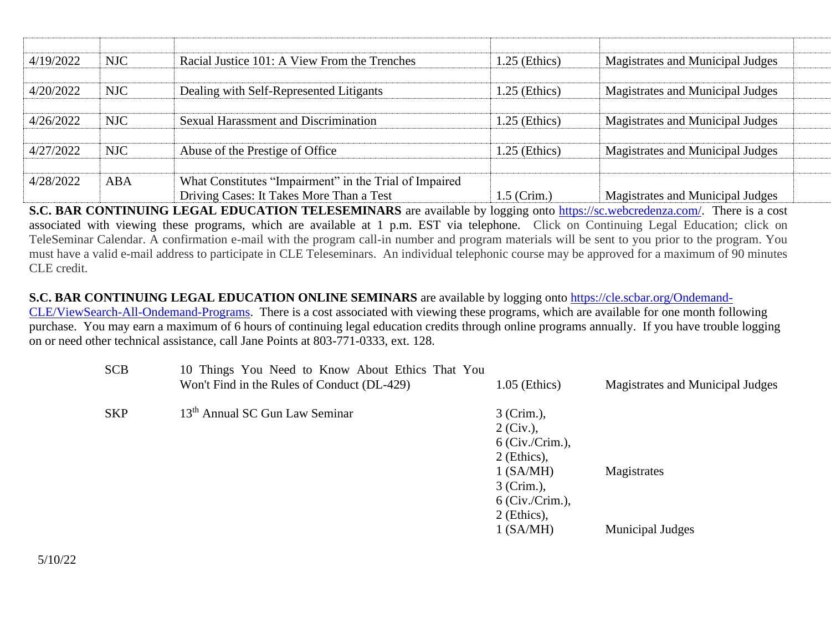| 4/19/2022 | NJC        | Racial Justice 101: A View From the Trenches                                                       | $1.25$ (Ethics) | Magistrates and Municipal Judges |
|-----------|------------|----------------------------------------------------------------------------------------------------|-----------------|----------------------------------|
| 4/20/2022 | NJC        | Dealing with Self-Represented Litigants                                                            | $1.25$ (Ethics) | Magistrates and Municipal Judges |
| 4/26/2022 | <b>NJC</b> | Sexual Harassment and Discrimination                                                               | $1.25$ (Ethics) | Magistrates and Municipal Judges |
| 4/27/2022 | <b>NJC</b> | Abuse of the Prestige of Office                                                                    | $1.25$ (Ethics) | Magistrates and Municipal Judges |
| 4/28/2022 | <b>ABA</b> | What Constitutes "Impairment" in the Trial of Impaired<br>Driving Cases: It Takes More Than a Test | $1.5$ (Crim.)   | Magistrates and Municipal Judges |

**S.C. BAR CONTINUING LEGAL EDUCATION TELESEMINARS** are available by logging onto **https://sc.webcredenza.com/.** There is a cost associated with viewing these programs, which are available at 1 p.m. EST via telephone. Click on Continuing Legal Education; click on TeleSeminar Calendar. A confirmation e-mail with the program call-in number and program materials will be sent to you prior to the program. You must have a valid e-mail address to participate in CLE Teleseminars. An individual telephonic course may be approved for a maximum of 90 minutes CLE credit.

## **S.C. BAR CONTINUING LEGAL EDUCATION ONLINE SEMINARS** are available by logging onto [https://cle.scbar.org/Ondemand-](https://urldefense.com/v3/__https:/cle.scbar.org/Ondemand-CLE/ViewSearch-All-Ondemand-Programs__;!!JHVHxrUang!Hasuz_BRaGkUxz73iuSBaxPqmY5W0isW5681Q5u7Rf3r_g0y08ParH1T-fV0BPF3$)

[CLE/ViewSearch-All-Ondemand-Programs.](https://urldefense.com/v3/__https:/cle.scbar.org/Ondemand-CLE/ViewSearch-All-Ondemand-Programs__;!!JHVHxrUang!Hasuz_BRaGkUxz73iuSBaxPqmY5W0isW5681Q5u7Rf3r_g0y08ParH1T-fV0BPF3$) There is a cost associated with viewing these programs, which are available for one month following purchase. You may earn a maximum of 6 hours of continuing legal education credits through online programs annually. If you have trouble logging on or need other technical assistance, call Jane Points at 803-771-0333, ext. 128.

| <b>SCB</b> | 10 Things You Need to Know About Ethics That You<br>Won't Find in the Rules of Conduct (DL-429) | $1.05$ (Ethics)                                                                                                                 | Magistrates and Municipal Judges |
|------------|-------------------------------------------------------------------------------------------------|---------------------------------------------------------------------------------------------------------------------------------|----------------------------------|
| <b>SKP</b> | 13 <sup>th</sup> Annual SC Gun Law Seminar                                                      | 3 (Crim.),<br>$2 (Civ.)$ ,<br>$6$ (Civ./Crim.),<br>2 (Ethics),<br>$1$ (SA/MH)<br>3 (Crim.),<br>$6$ (Civ./Crim.),<br>2 (Ethics), | Magistrates                      |
|            |                                                                                                 | 1 (SA/MH)                                                                                                                       | <b>Municipal Judges</b>          |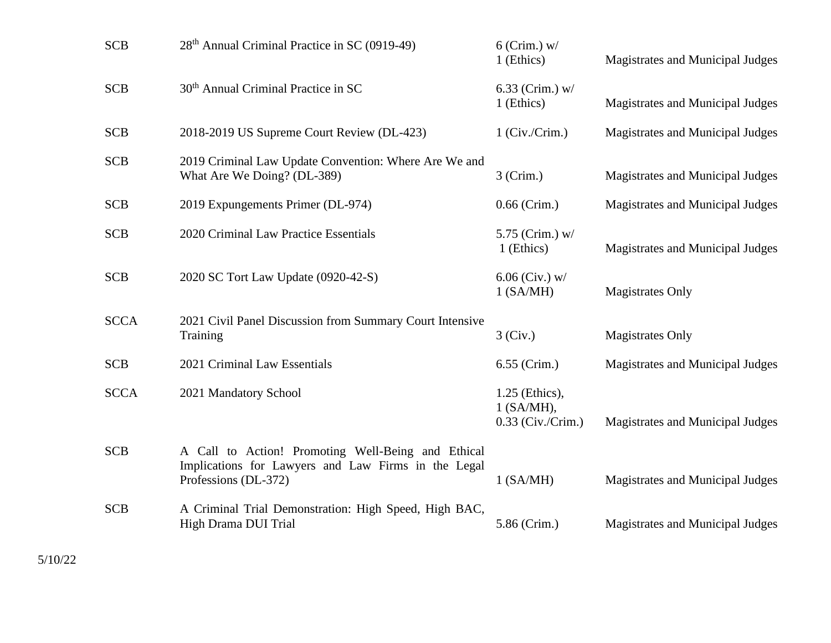| <b>SCB</b>  | 28 <sup>th</sup> Annual Criminal Practice in SC (0919-49)                                                                         | $6$ (Crim.) w/<br>1 (Ethics)                        | Magistrates and Municipal Judges |
|-------------|-----------------------------------------------------------------------------------------------------------------------------------|-----------------------------------------------------|----------------------------------|
| <b>SCB</b>  | 30 <sup>th</sup> Annual Criminal Practice in SC                                                                                   | 6.33 (Crim.) $w/$<br>1 (Ethics)                     | Magistrates and Municipal Judges |
| <b>SCB</b>  | 2018-2019 US Supreme Court Review (DL-423)                                                                                        | $1$ (Civ./Crim.)                                    | Magistrates and Municipal Judges |
| <b>SCB</b>  | 2019 Criminal Law Update Convention: Where Are We and<br>What Are We Doing? (DL-389)                                              | $3$ (Crim.)                                         | Magistrates and Municipal Judges |
| <b>SCB</b>  | 2019 Expungements Primer (DL-974)                                                                                                 | $0.66$ (Crim.)                                      | Magistrates and Municipal Judges |
| <b>SCB</b>  | 2020 Criminal Law Practice Essentials                                                                                             | 5.75 (Crim.) $w/$<br>1 (Ethics)                     | Magistrates and Municipal Judges |
| <b>SCB</b>  | 2020 SC Tort Law Update (0920-42-S)                                                                                               | $6.06$ (Civ.) w/<br>$1$ (SA/MH)                     | <b>Magistrates Only</b>          |
| <b>SCCA</b> | 2021 Civil Panel Discussion from Summary Court Intensive<br>Training                                                              | 3 (Civ.)                                            | <b>Magistrates Only</b>          |
| <b>SCB</b>  | 2021 Criminal Law Essentials                                                                                                      | 6.55 (Crim.)                                        | Magistrates and Municipal Judges |
| <b>SCCA</b> | 2021 Mandatory School                                                                                                             | 1.25 (Ethics),<br>$1$ (SA/MH),<br>0.33 (Civ./Crim.) | Magistrates and Municipal Judges |
| <b>SCB</b>  | A Call to Action! Promoting Well-Being and Ethical<br>Implications for Lawyers and Law Firms in the Legal<br>Professions (DL-372) | $1$ (SA/MH)                                         | Magistrates and Municipal Judges |
| <b>SCB</b>  | A Criminal Trial Demonstration: High Speed, High BAC,<br>High Drama DUI Trial                                                     | 5.86 (Crim.)                                        | Magistrates and Municipal Judges |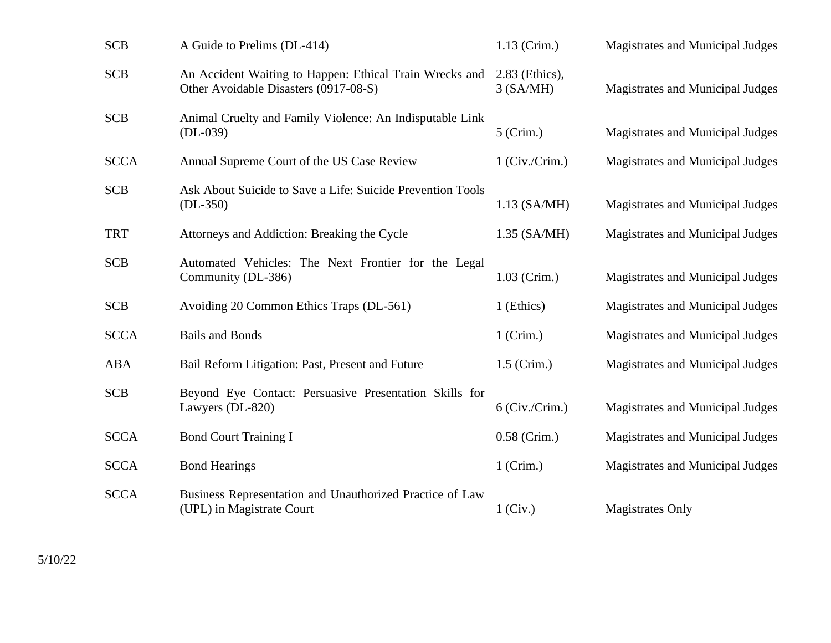| <b>SCB</b>  | A Guide to Prelims (DL-414)                                                                      | $1.13$ (Crim.)              | Magistrates and Municipal Judges |
|-------------|--------------------------------------------------------------------------------------------------|-----------------------------|----------------------------------|
| <b>SCB</b>  | An Accident Waiting to Happen: Ethical Train Wrecks and<br>Other Avoidable Disasters (0917-08-S) | 2.83 (Ethics),<br>3 (SA/MH) | Magistrates and Municipal Judges |
| <b>SCB</b>  | Animal Cruelty and Family Violence: An Indisputable Link<br>$(DL-039)$                           | $5$ (Crim.)                 | Magistrates and Municipal Judges |
| <b>SCCA</b> | Annual Supreme Court of the US Case Review                                                       | $1$ (Civ./Crim.)            | Magistrates and Municipal Judges |
| <b>SCB</b>  | Ask About Suicide to Save a Life: Suicide Prevention Tools<br>$(DL-350)$                         | $1.13$ (SA/MH)              | Magistrates and Municipal Judges |
| <b>TRT</b>  | Attorneys and Addiction: Breaking the Cycle                                                      | $1.35$ (SA/MH)              | Magistrates and Municipal Judges |
| <b>SCB</b>  | Automated Vehicles: The Next Frontier for the Legal<br>Community (DL-386)                        | $1.03$ (Crim.)              | Magistrates and Municipal Judges |
| <b>SCB</b>  | Avoiding 20 Common Ethics Traps (DL-561)                                                         | 1 (Ethics)                  | Magistrates and Municipal Judges |
| <b>SCCA</b> | <b>Bails and Bonds</b>                                                                           | $1$ (Crim.)                 | Magistrates and Municipal Judges |
| ABA         | Bail Reform Litigation: Past, Present and Future                                                 | $1.5$ (Crim.)               | Magistrates and Municipal Judges |
| <b>SCB</b>  | Beyond Eye Contact: Persuasive Presentation Skills for<br>Lawyers (DL-820)                       | $6$ (Civ./Crim.)            | Magistrates and Municipal Judges |
| <b>SCCA</b> | <b>Bond Court Training I</b>                                                                     | $0.58$ (Crim.)              | Magistrates and Municipal Judges |
| <b>SCCA</b> | <b>Bond Hearings</b>                                                                             | $1$ (Crim.)                 | Magistrates and Municipal Judges |
| <b>SCCA</b> | Business Representation and Unauthorized Practice of Law<br>(UPL) in Magistrate Court            | $1$ (Civ.)                  | <b>Magistrates Only</b>          |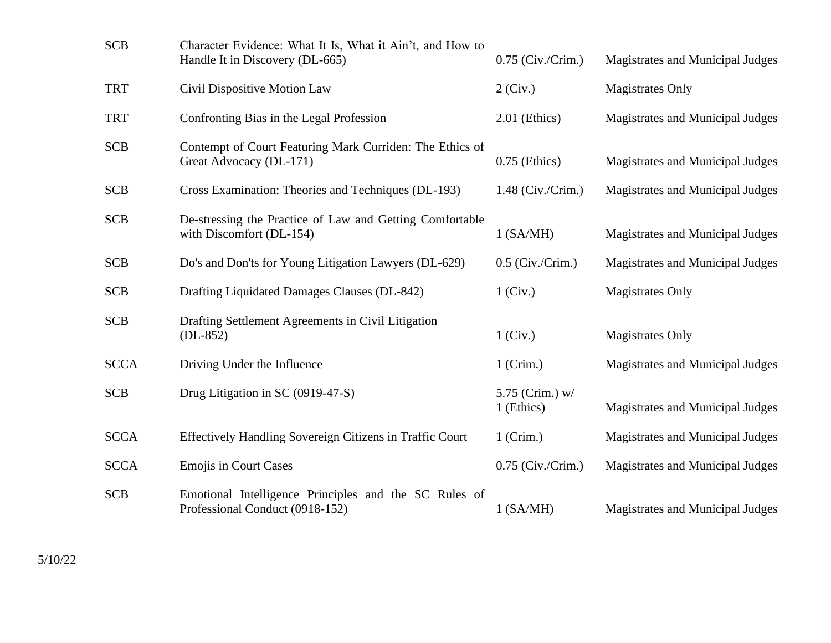| <b>SCB</b>  | Character Evidence: What It Is, What it Ain't, and How to<br>Handle It in Discovery (DL-665) | $0.75$ (Civ./Crim.)           | Magistrates and Municipal Judges |
|-------------|----------------------------------------------------------------------------------------------|-------------------------------|----------------------------------|
| <b>TRT</b>  | Civil Dispositive Motion Law                                                                 | $2$ (Civ.)                    | <b>Magistrates Only</b>          |
| <b>TRT</b>  | Confronting Bias in the Legal Profession                                                     | 2.01 (Ethics)                 | Magistrates and Municipal Judges |
| <b>SCB</b>  | Contempt of Court Featuring Mark Curriden: The Ethics of<br>Great Advocacy (DL-171)          | $0.75$ (Ethics)               | Magistrates and Municipal Judges |
| <b>SCB</b>  | Cross Examination: Theories and Techniques (DL-193)                                          | $1.48$ (Civ./Crim.)           | Magistrates and Municipal Judges |
| <b>SCB</b>  | De-stressing the Practice of Law and Getting Comfortable<br>with Discomfort (DL-154)         | 1 (SA/MH)                     | Magistrates and Municipal Judges |
| <b>SCB</b>  | Do's and Don'ts for Young Litigation Lawyers (DL-629)                                        | $0.5$ (Civ./Crim.)            | Magistrates and Municipal Judges |
| <b>SCB</b>  | Drafting Liquidated Damages Clauses (DL-842)                                                 | $1$ (Civ.)                    | <b>Magistrates Only</b>          |
| <b>SCB</b>  | Drafting Settlement Agreements in Civil Litigation<br>$(DL-852)$                             | $1$ (Civ.)                    | <b>Magistrates Only</b>          |
| <b>SCCA</b> | Driving Under the Influence                                                                  | $1$ (Crim.)                   | Magistrates and Municipal Judges |
| <b>SCB</b>  | Drug Litigation in SC (0919-47-S)                                                            | 5.75 (Crim.) w/<br>1 (Ethics) | Magistrates and Municipal Judges |
| <b>SCCA</b> | Effectively Handling Sovereign Citizens in Traffic Court                                     | $1$ (Crim.)                   | Magistrates and Municipal Judges |
| <b>SCCA</b> | <b>Emojis in Court Cases</b>                                                                 | $0.75$ (Civ./Crim.)           | Magistrates and Municipal Judges |
| <b>SCB</b>  | Emotional Intelligence Principles and the SC Rules of<br>Professional Conduct (0918-152)     | 1 (SA/MH)                     | Magistrates and Municipal Judges |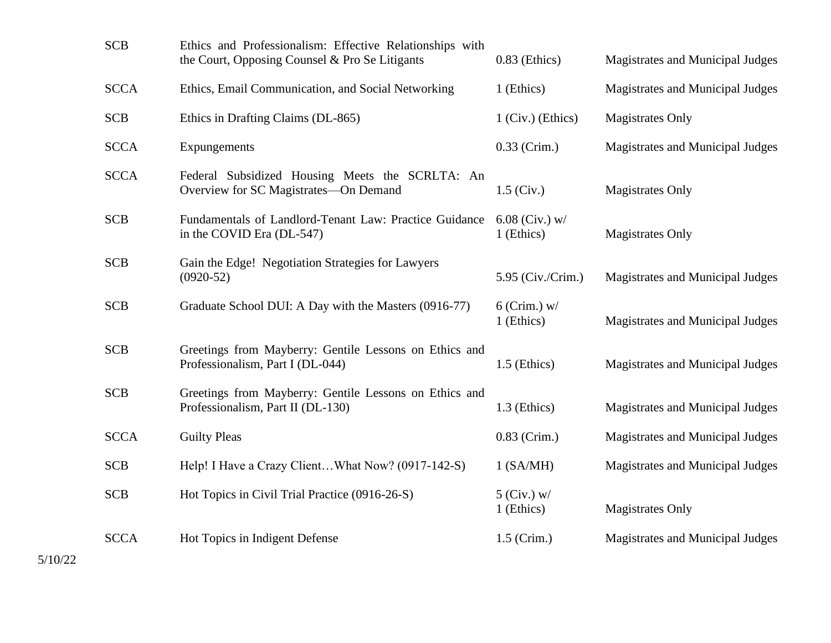| <b>SCB</b>  | Ethics and Professionalism: Effective Relationships with<br>the Court, Opposing Counsel & Pro Se Litigants | $0.83$ (Ethics)                | Magistrates and Municipal Judges |
|-------------|------------------------------------------------------------------------------------------------------------|--------------------------------|----------------------------------|
| <b>SCCA</b> | Ethics, Email Communication, and Social Networking                                                         | 1 (Ethics)                     | Magistrates and Municipal Judges |
| <b>SCB</b>  | Ethics in Drafting Claims (DL-865)                                                                         | $1$ (Civ.) (Ethics)            | <b>Magistrates Only</b>          |
| <b>SCCA</b> | Expungements                                                                                               | $0.33$ (Crim.)                 | Magistrates and Municipal Judges |
| <b>SCCA</b> | Federal Subsidized Housing Meets the SCRLTA: An<br>Overview for SC Magistrates-On Demand                   | $1.5$ (Civ.)                   | <b>Magistrates Only</b>          |
| <b>SCB</b>  | Fundamentals of Landlord-Tenant Law: Practice Guidance<br>in the COVID Era (DL-547)                        | $6.08$ (Civ.) w/<br>1 (Ethics) | <b>Magistrates Only</b>          |
| <b>SCB</b>  | Gain the Edge! Negotiation Strategies for Lawyers<br>$(0920-52)$                                           | 5.95 (Civ./Crim.)              | Magistrates and Municipal Judges |
| <b>SCB</b>  | Graduate School DUI: A Day with the Masters (0916-77)                                                      | $6$ (Crim.) w/<br>1 (Ethics)   | Magistrates and Municipal Judges |
| <b>SCB</b>  | Greetings from Mayberry: Gentile Lessons on Ethics and<br>Professionalism, Part I (DL-044)                 | 1.5 (Ethics)                   | Magistrates and Municipal Judges |
| <b>SCB</b>  | Greetings from Mayberry: Gentile Lessons on Ethics and<br>Professionalism, Part II (DL-130)                | $1.3$ (Ethics)                 | Magistrates and Municipal Judges |
| <b>SCCA</b> | <b>Guilty Pleas</b>                                                                                        | $0.83$ (Crim.)                 | Magistrates and Municipal Judges |
| <b>SCB</b>  | Help! I Have a Crazy ClientWhat Now? (0917-142-S)                                                          | $1$ (SA/MH)                    | Magistrates and Municipal Judges |
| <b>SCB</b>  | Hot Topics in Civil Trial Practice (0916-26-S)                                                             | $5$ (Civ.) w/<br>1 (Ethics)    | <b>Magistrates Only</b>          |
| <b>SCCA</b> | Hot Topics in Indigent Defense                                                                             | $1.5$ (Crim.)                  | Magistrates and Municipal Judges |
|             |                                                                                                            |                                |                                  |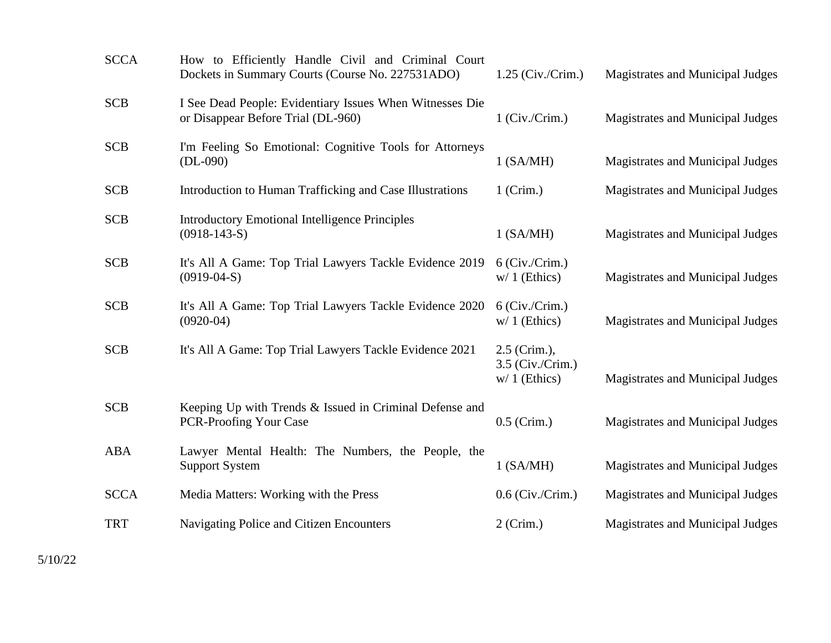| <b>SCCA</b> | How to Efficiently Handle Civil and Criminal Court<br>Dockets in Summary Courts (Course No. 227531ADO) | $1.25$ (Civ./Crim.)                                | Magistrates and Municipal Judges |
|-------------|--------------------------------------------------------------------------------------------------------|----------------------------------------------------|----------------------------------|
| <b>SCB</b>  | I See Dead People: Evidentiary Issues When Witnesses Die<br>or Disappear Before Trial (DL-960)         | $1$ (Civ./Crim.)                                   | Magistrates and Municipal Judges |
| <b>SCB</b>  | I'm Feeling So Emotional: Cognitive Tools for Attorneys<br>$(DL-090)$                                  | $1$ (SA/MH)                                        | Magistrates and Municipal Judges |
| <b>SCB</b>  | Introduction to Human Trafficking and Case Illustrations                                               | $1$ (Crim.)                                        | Magistrates and Municipal Judges |
| <b>SCB</b>  | <b>Introductory Emotional Intelligence Principles</b><br>$(0918-143-S)$                                | $1$ (SA/MH)                                        | Magistrates and Municipal Judges |
| <b>SCB</b>  | It's All A Game: Top Trial Lawyers Tackle Evidence 2019<br>$(0919-04-S)$                               | $6$ (Civ./Crim.)<br>$w/1$ (Ethics)                 | Magistrates and Municipal Judges |
| <b>SCB</b>  | It's All A Game: Top Trial Lawyers Tackle Evidence 2020<br>$(0920-04)$                                 | $6$ (Civ./Crim.)<br>$w/1$ (Ethics)                 | Magistrates and Municipal Judges |
| <b>SCB</b>  | It's All A Game: Top Trial Lawyers Tackle Evidence 2021                                                | 2.5 (Crim.),<br>3.5 (Civ./Crim.)<br>$w/1$ (Ethics) | Magistrates and Municipal Judges |
| <b>SCB</b>  | Keeping Up with Trends & Issued in Criminal Defense and<br><b>PCR-Proofing Your Case</b>               | $0.5$ (Crim.)                                      | Magistrates and Municipal Judges |
| <b>ABA</b>  | Lawyer Mental Health: The Numbers, the People, the<br><b>Support System</b>                            | 1 (SA/MH)                                          | Magistrates and Municipal Judges |
| <b>SCCA</b> | Media Matters: Working with the Press                                                                  | $0.6$ (Civ./Crim.)                                 | Magistrates and Municipal Judges |
| <b>TRT</b>  | Navigating Police and Citizen Encounters                                                               | $2$ (Crim.)                                        | Magistrates and Municipal Judges |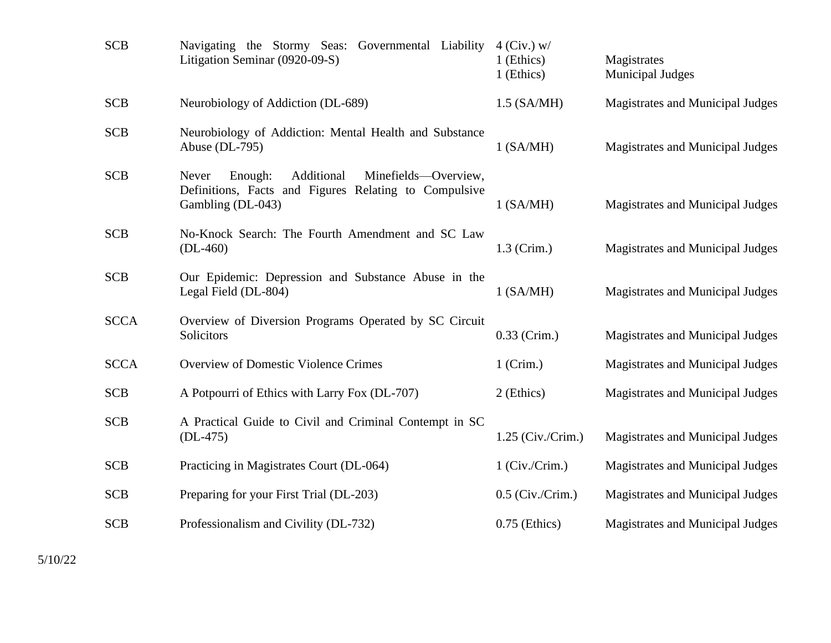| <b>SCB</b>  | Navigating the Stormy Seas: Governmental Liability<br>Litigation Seminar (0920-09-S)                                                 | $4$ (Civ.) w/<br>1 (Ethics)<br>1 (Ethics) | Magistrates<br><b>Municipal Judges</b>  |
|-------------|--------------------------------------------------------------------------------------------------------------------------------------|-------------------------------------------|-----------------------------------------|
| <b>SCB</b>  | Neurobiology of Addiction (DL-689)                                                                                                   | $1.5$ (SA/MH)                             | Magistrates and Municipal Judges        |
| <b>SCB</b>  | Neurobiology of Addiction: Mental Health and Substance<br>Abuse $(DL-795)$                                                           | $1$ (SA/MH)                               | Magistrates and Municipal Judges        |
| <b>SCB</b>  | Additional<br>Minefields—Overview,<br>Never<br>Enough:<br>Definitions, Facts and Figures Relating to Compulsive<br>Gambling (DL-043) | $1$ (SA/MH)                               | Magistrates and Municipal Judges        |
| <b>SCB</b>  | No-Knock Search: The Fourth Amendment and SC Law<br>$(DL-460)$                                                                       | $1.3$ (Crim.)                             | Magistrates and Municipal Judges        |
| <b>SCB</b>  | Our Epidemic: Depression and Substance Abuse in the<br>Legal Field (DL-804)                                                          | $1$ (SA/MH)                               | Magistrates and Municipal Judges        |
| <b>SCCA</b> | Overview of Diversion Programs Operated by SC Circuit<br>Solicitors                                                                  | $0.33$ (Crim.)                            | Magistrates and Municipal Judges        |
| <b>SCCA</b> | <b>Overview of Domestic Violence Crimes</b>                                                                                          | $1$ (Crim.)                               | Magistrates and Municipal Judges        |
| <b>SCB</b>  | A Potpourri of Ethics with Larry Fox (DL-707)                                                                                        | 2 (Ethics)                                | <b>Magistrates and Municipal Judges</b> |
| <b>SCB</b>  | A Practical Guide to Civil and Criminal Contempt in SC<br>$(DL-475)$                                                                 | $1.25$ (Civ./Crim.)                       | Magistrates and Municipal Judges        |
| <b>SCB</b>  | Practicing in Magistrates Court (DL-064)                                                                                             | $1$ (Civ./Crim.)                          | Magistrates and Municipal Judges        |
| <b>SCB</b>  | Preparing for your First Trial (DL-203)                                                                                              | $0.5$ (Civ./Crim.)                        | Magistrates and Municipal Judges        |
| <b>SCB</b>  | Professionalism and Civility (DL-732)                                                                                                | $0.75$ (Ethics)                           | Magistrates and Municipal Judges        |
|             |                                                                                                                                      |                                           |                                         |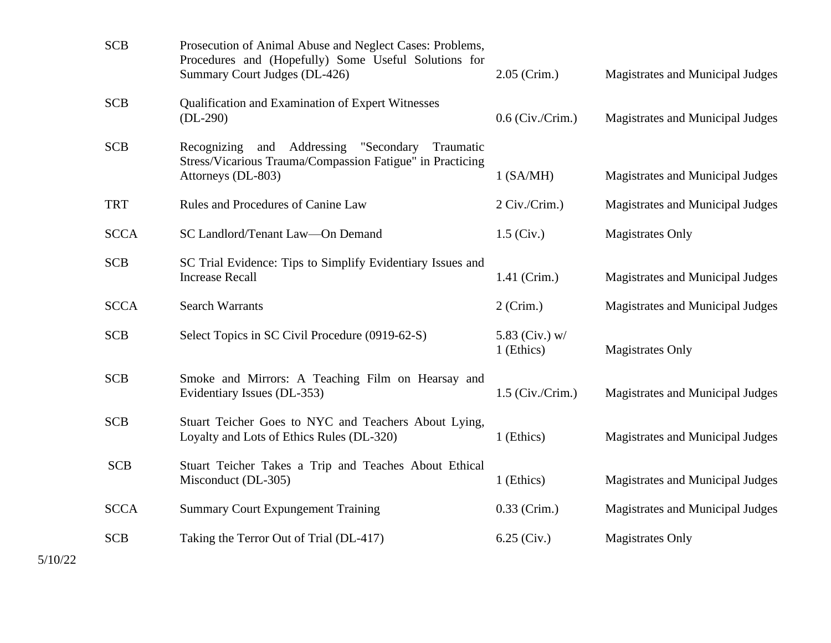| <b>SCB</b>  | Prosecution of Animal Abuse and Neglect Cases: Problems,<br>Procedures and (Hopefully) Some Useful Solutions for<br>Summary Court Judges (DL-426) | $2.05$ (Crim.)               | Magistrates and Municipal Judges |
|-------------|---------------------------------------------------------------------------------------------------------------------------------------------------|------------------------------|----------------------------------|
| <b>SCB</b>  | <b>Qualification and Examination of Expert Witnesses</b><br>$(DL-290)$                                                                            | $0.6$ (Civ./Crim.)           | Magistrates and Municipal Judges |
| <b>SCB</b>  | Recognizing and Addressing "Secondary<br>Traumatic<br>Stress/Vicarious Trauma/Compassion Fatigue" in Practicing<br>Attorneys (DL-803)             | $1$ (SA/MH)                  | Magistrates and Municipal Judges |
| <b>TRT</b>  | Rules and Procedures of Canine Law                                                                                                                | 2 Civ./Crim.)                | Magistrates and Municipal Judges |
| <b>SCCA</b> | SC Landlord/Tenant Law-On Demand                                                                                                                  | $1.5$ (Civ.)                 | <b>Magistrates Only</b>          |
| <b>SCB</b>  | SC Trial Evidence: Tips to Simplify Evidentiary Issues and<br><b>Increase Recall</b>                                                              | 1.41 (Crim.)                 | Magistrates and Municipal Judges |
| <b>SCCA</b> | <b>Search Warrants</b>                                                                                                                            | $2$ (Crim.)                  | Magistrates and Municipal Judges |
| <b>SCB</b>  | Select Topics in SC Civil Procedure (0919-62-S)                                                                                                   | 5.83 (Civ.) w/<br>1 (Ethics) | <b>Magistrates Only</b>          |
| <b>SCB</b>  | Smoke and Mirrors: A Teaching Film on Hearsay and<br>Evidentiary Issues (DL-353)                                                                  | $1.5$ (Civ./Crim.)           | Magistrates and Municipal Judges |
| <b>SCB</b>  | Stuart Teicher Goes to NYC and Teachers About Lying,<br>Loyalty and Lots of Ethics Rules (DL-320)                                                 | 1 (Ethics)                   | Magistrates and Municipal Judges |
| <b>SCB</b>  | Stuart Teicher Takes a Trip and Teaches About Ethical<br>Misconduct (DL-305)                                                                      | 1 (Ethics)                   | Magistrates and Municipal Judges |
| <b>SCCA</b> | <b>Summary Court Expungement Training</b>                                                                                                         | $0.33$ (Crim.)               | Magistrates and Municipal Judges |
| <b>SCB</b>  | Taking the Terror Out of Trial (DL-417)                                                                                                           | $6.25$ (Civ.)                | <b>Magistrates Only</b>          |
|             |                                                                                                                                                   |                              |                                  |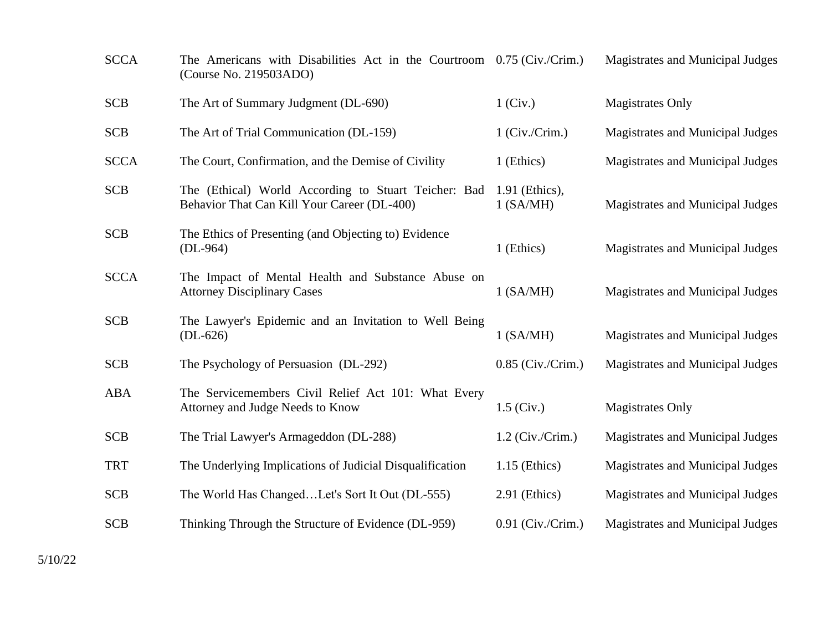| <b>SCCA</b> | The Americans with Disabilities Act in the Courtroom 0.75 (Civ./Crim.)<br>(Course No. 219503ADO)    |                               | Magistrates and Municipal Judges        |
|-------------|-----------------------------------------------------------------------------------------------------|-------------------------------|-----------------------------------------|
| <b>SCB</b>  | The Art of Summary Judgment (DL-690)                                                                | $1$ (Civ.)                    | <b>Magistrates Only</b>                 |
| <b>SCB</b>  | The Art of Trial Communication (DL-159)                                                             | $1$ (Civ./Crim.)              | Magistrates and Municipal Judges        |
| <b>SCCA</b> | The Court, Confirmation, and the Demise of Civility                                                 | 1 (Ethics)                    | Magistrates and Municipal Judges        |
| <b>SCB</b>  | The (Ethical) World According to Stuart Teicher: Bad<br>Behavior That Can Kill Your Career (DL-400) | 1.91 (Ethics),<br>$1$ (SA/MH) | <b>Magistrates and Municipal Judges</b> |
| <b>SCB</b>  | The Ethics of Presenting (and Objecting to) Evidence<br>$(DL-964)$                                  | 1 (Ethics)                    | Magistrates and Municipal Judges        |
| <b>SCCA</b> | The Impact of Mental Health and Substance Abuse on<br><b>Attorney Disciplinary Cases</b>            | $1$ (SA/MH)                   | Magistrates and Municipal Judges        |
| <b>SCB</b>  | The Lawyer's Epidemic and an Invitation to Well Being<br>$(DL-626)$                                 | $1$ (SA/MH)                   | <b>Magistrates and Municipal Judges</b> |
| <b>SCB</b>  | The Psychology of Persuasion (DL-292)                                                               | $0.85$ (Civ./Crim.)           | Magistrates and Municipal Judges        |
| <b>ABA</b>  | The Servicemembers Civil Relief Act 101: What Every<br>Attorney and Judge Needs to Know             | $1.5$ (Civ.)                  | <b>Magistrates Only</b>                 |
| <b>SCB</b>  | The Trial Lawyer's Armageddon (DL-288)                                                              | $1.2$ (Civ./Crim.)            | Magistrates and Municipal Judges        |
| <b>TRT</b>  | The Underlying Implications of Judicial Disqualification                                            | $1.15$ (Ethics)               | Magistrates and Municipal Judges        |
| <b>SCB</b>  | The World Has ChangedLet's Sort It Out (DL-555)                                                     | $2.91$ (Ethics)               | Magistrates and Municipal Judges        |
| <b>SCB</b>  | Thinking Through the Structure of Evidence (DL-959)                                                 | $0.91$ (Civ./Crim.)           | Magistrates and Municipal Judges        |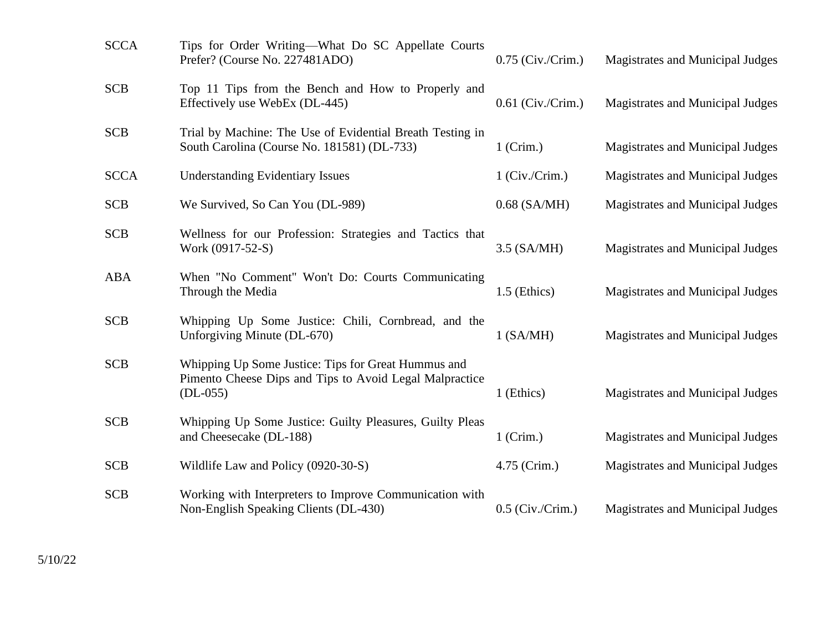| <b>SCCA</b> | Tips for Order Writing—What Do SC Appellate Courts<br>Prefer? (Course No. 227481ADO)                                         | $0.75$ (Civ./Crim.) | Magistrates and Municipal Judges |
|-------------|------------------------------------------------------------------------------------------------------------------------------|---------------------|----------------------------------|
| <b>SCB</b>  | Top 11 Tips from the Bench and How to Properly and<br>Effectively use WebEx (DL-445)                                         | $0.61$ (Civ./Crim.) | Magistrates and Municipal Judges |
| <b>SCB</b>  | Trial by Machine: The Use of Evidential Breath Testing in<br>South Carolina (Course No. 181581) (DL-733)                     | $1$ (Crim.)         | Magistrates and Municipal Judges |
| <b>SCCA</b> | <b>Understanding Evidentiary Issues</b>                                                                                      | $1$ (Civ./Crim.)    | Magistrates and Municipal Judges |
| <b>SCB</b>  | We Survived, So Can You (DL-989)                                                                                             | $0.68$ (SA/MH)      | Magistrates and Municipal Judges |
| <b>SCB</b>  | Wellness for our Profession: Strategies and Tactics that<br>Work (0917-52-S)                                                 | $3.5$ (SA/MH)       | Magistrates and Municipal Judges |
| ABA         | When "No Comment" Won't Do: Courts Communicating<br>Through the Media                                                        | $1.5$ (Ethics)      | Magistrates and Municipal Judges |
| <b>SCB</b>  | Whipping Up Some Justice: Chili, Cornbread, and the<br>Unforgiving Minute (DL-670)                                           | $1$ (SA/MH)         | Magistrates and Municipal Judges |
| <b>SCB</b>  | Whipping Up Some Justice: Tips for Great Hummus and<br>Pimento Cheese Dips and Tips to Avoid Legal Malpractice<br>$(DL-055)$ | 1 (Ethics)          | Magistrates and Municipal Judges |
| <b>SCB</b>  | Whipping Up Some Justice: Guilty Pleasures, Guilty Pleas<br>and Cheesecake (DL-188)                                          | $1$ (Crim.)         | Magistrates and Municipal Judges |
| <b>SCB</b>  | Wildlife Law and Policy (0920-30-S)                                                                                          | 4.75 (Crim.)        | Magistrates and Municipal Judges |
| <b>SCB</b>  | Working with Interpreters to Improve Communication with<br>Non-English Speaking Clients (DL-430)                             | $0.5$ (Civ./Crim.)  | Magistrates and Municipal Judges |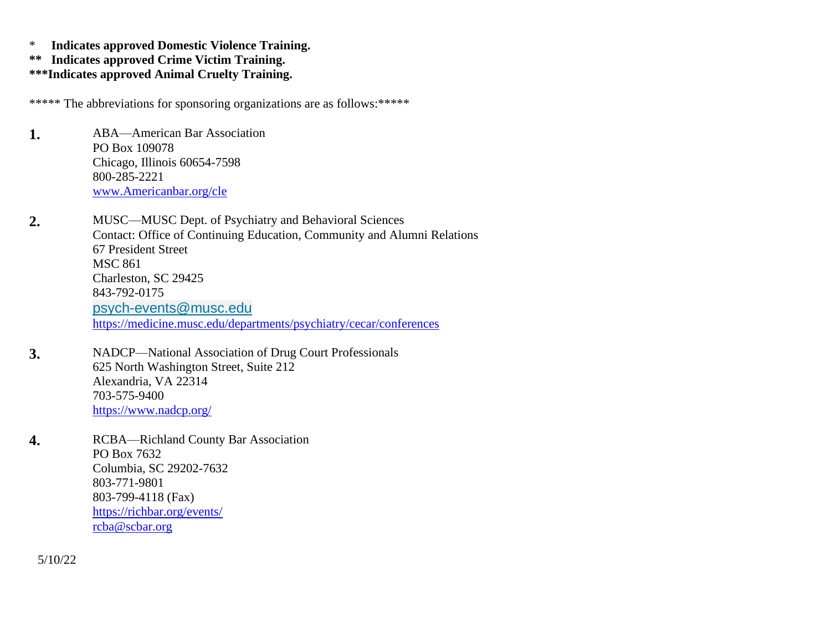\* **Indicates approved Domestic Violence Training.**

- **\*\* Indicates approved Crime Victim Training.**
- **\*\*\*Indicates approved Animal Cruelty Training.**

\*\*\*\*\* The abbreviations for sponsoring organizations are as follows:\*\*\*\*\*

**1.** ABA—American Bar Association PO Box 109078 Chicago, Illinois 60654-7598 800-285-2221 [www.Americanbar.org/cle](http://www.americanbar.org/cle)

**2.** MUSC—MUSC Dept. of Psychiatry and Behavioral Sciences Contact: Office of Continuing Education, Community and Alumni Relations 67 President Street MSC 861 Charleston, SC 29425 843-792-0175 [psych-events@musc.edu](mailto:psych-events@musc.edu) <https://medicine.musc.edu/departments/psychiatry/cecar/conferences>

- **3.** NADCP—National Association of Drug Court Professionals 625 North Washington Street, Suite 212 Alexandria, VA 22314 703-575-9400 <https://www.nadcp.org/>
- **4.** RCBA—Richland County Bar Association PO Box 7632 Columbia, SC 29202-7632 803-771-9801 803-799-4118 (Fax) <https://richbar.org/events/> [rcba@scbar.org](mailto:rcba@scbar.org)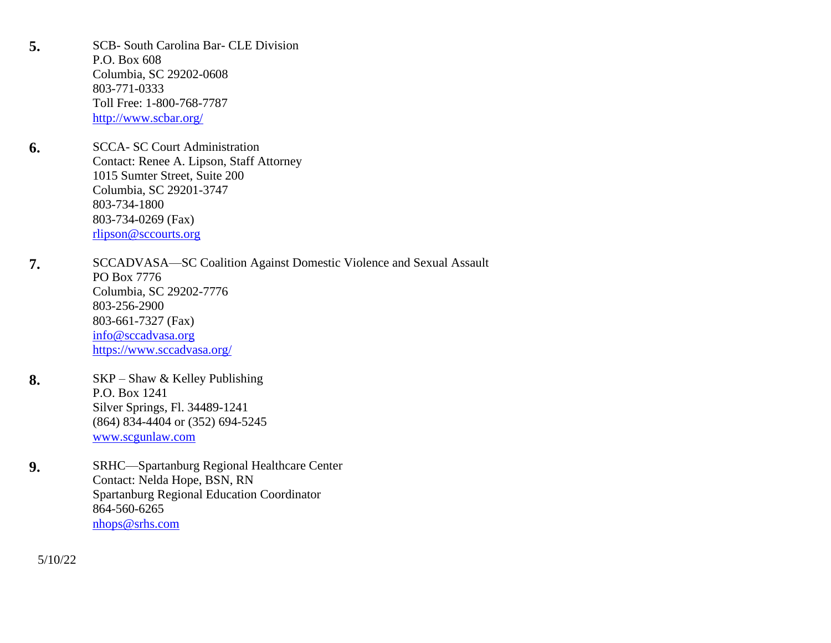**5.** SCB- South Carolina Bar- CLE Division P.O. Box 608 Columbia, SC 29202-0608 803-771-0333 Toll Free: 1-800-768-7787 <http://www.scbar.org/>

- **6.** SCCA- SC Court Administration Contact: Renee A. Lipson, Staff Attorney 1015 Sumter Street, Suite 200 Columbia, SC 29201-3747 803-734-1800 803-734-0269 (Fax) [rlipson@sccourts.org](mailto:rlipson@sccourts.org)
- **7.** SCCADVASA—SC Coalition Against Domestic Violence and Sexual Assault PO Box 7776 Columbia, SC 29202-7776 803-256-2900 803-661-7327 (Fax) [info@sccadvasa.org](mailto:info@sccadvasa.org) <https://www.sccadvasa.org/>
- **8.** SKP Shaw & Kelley Publishing P.O. Box 1241 Silver Springs, Fl. 34489-1241 (864) 834-4404 or (352) 694-5245 [www.scgunlaw.com](http://www.scgunlaw.com/)
- **9.** SRHC—Spartanburg Regional Healthcare Center Contact: Nelda Hope, BSN, RN Spartanburg Regional Education Coordinator 864-560-6265 [nhops@srhs.com](mailto:nhops@srhs.com)